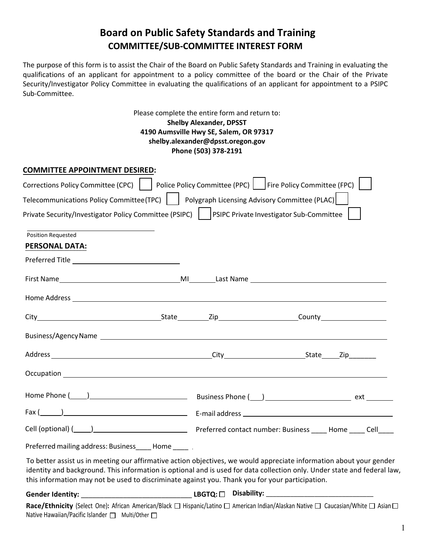## **Board on Public Safety Standards and Training COMMITTEE/SUB-COMMITTEE INTEREST FORM**

The purpose of this form is to assist the Chair of the Board on Public Safety Standards and Training in evaluating the qualifications of an applicant for appointment to a policy committee of the board or the Chair of the Private Security/Investigator Policy Committee in evaluating the qualifications of an applicant for appointment to a PSIPC Sub-Committee.

> Please complete the entire form and return to: **Shelby Alexander, DPSST 4190 Aumsville Hwy SE, Salem, OR 97317 shelby.alexander@dpsst.oregon.gov Phone (503) 378-2191**

| <b>COMMITTEE APPOINTMENT DESIRED:</b>                                                             |                                                                                                                                                                                                                                                 |  |
|---------------------------------------------------------------------------------------------------|-------------------------------------------------------------------------------------------------------------------------------------------------------------------------------------------------------------------------------------------------|--|
| Corrections Policy Committee (CPC)                                                                | Police Policy Committee (PPC) Fire Policy Committee (FPC)                                                                                                                                                                                       |  |
| Telecommunications Policy Committee(TPC)     Polygraph Licensing Advisory Committee (PLAC)        |                                                                                                                                                                                                                                                 |  |
| Private Security/Investigator Policy Committee (PSIPC)   PSIPC Private Investigator Sub-Committee |                                                                                                                                                                                                                                                 |  |
| Position Requested                                                                                |                                                                                                                                                                                                                                                 |  |
| <b>PERSONAL DATA:</b>                                                                             |                                                                                                                                                                                                                                                 |  |
|                                                                                                   |                                                                                                                                                                                                                                                 |  |
|                                                                                                   |                                                                                                                                                                                                                                                 |  |
|                                                                                                   |                                                                                                                                                                                                                                                 |  |
|                                                                                                   |                                                                                                                                                                                                                                                 |  |
|                                                                                                   |                                                                                                                                                                                                                                                 |  |
|                                                                                                   |                                                                                                                                                                                                                                                 |  |
|                                                                                                   |                                                                                                                                                                                                                                                 |  |
|                                                                                                   |                                                                                                                                                                                                                                                 |  |
|                                                                                                   |                                                                                                                                                                                                                                                 |  |
|                                                                                                   |                                                                                                                                                                                                                                                 |  |
| Preferred mailing address: Business_____Home_____                                                 |                                                                                                                                                                                                                                                 |  |
| this information may not be used to discriminate against you. Thank you for your participation.   | To better assist us in meeting our affirmative action objectives, we would appreciate information about your gender<br>identity and background. This information is optional and is used for data collection only. Under state and federal law, |  |
|                                                                                                   |                                                                                                                                                                                                                                                 |  |
| Native Hawaiian/Pacific Islander □ Multi/Other □                                                  | Race/Ethnicity (Select One): African American/Black □ Hispanic/Latino □ American Indian/Alaskan Native □ Caucasian/White □ Asian □                                                                                                              |  |